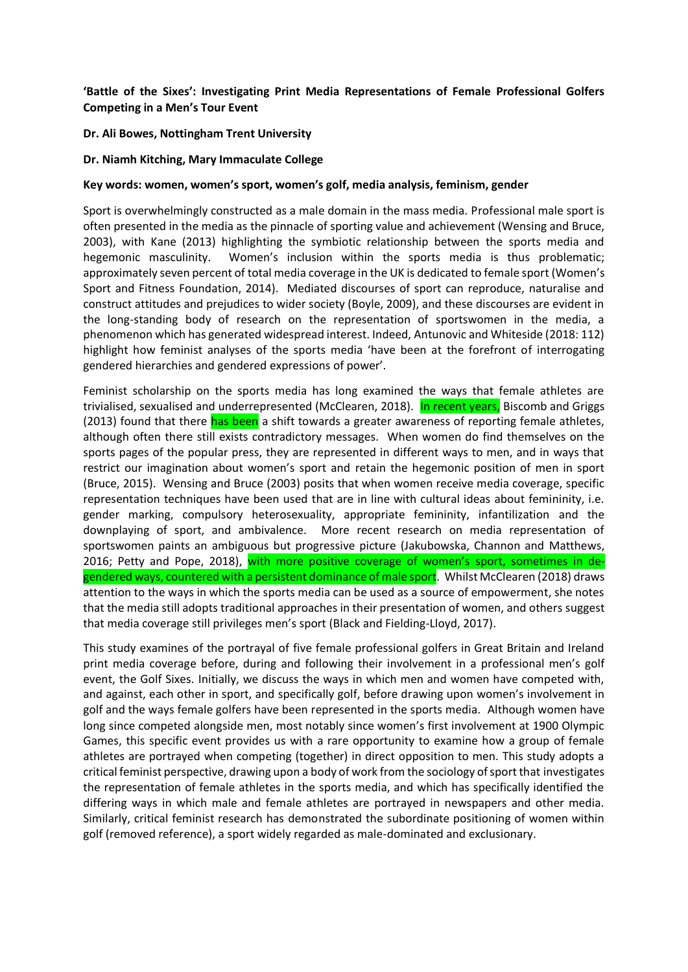# **'Battle of the Sixes': Investigating Print Media Representations of Female Professional Golfers Competing in a Men's Tour Event**

# **Dr. Ali Bowes, Nottingham Trent University**

# **Dr. Niamh Kitching, Mary Immaculate College**

# **Key words: women, women's sport, women's golf, media analysis, feminism, gender**

Sport is overwhelmingly constructed as a male domain in the mass media. Professional male sport is often presented in the media as the pinnacle of sporting value and achievement (Wensing and Bruce, 2003), with Kane (2013) highlighting the symbiotic relationship between the sports media and hegemonic masculinity. Women's inclusion within the sports media is thus problematic; approximately seven percent of total media coverage in the UK is dedicated to female sport (Women's Sport and Fitness Foundation, 2014). Mediated discourses of sport can reproduce, naturalise and construct attitudes and prejudices to wider society (Boyle, 2009), and these discourses are evident in the long-standing body of research on the representation of sportswomen in the media, a phenomenon which has generated widespread interest. Indeed, Antunovic and Whiteside (2018: 112) highlight how feminist analyses of the sports media 'have been at the forefront of interrogating gendered hierarchies and gendered expressions of power'.

Feminist scholarship on the sports media has long examined the ways that female athletes are trivialised, sexualised and underrepresented (McClearen, 2018). In recent years, Biscomb and Griggs (2013) found that there has been a shift towards a greater awareness of reporting female athletes, although often there still exists contradictory messages. When women do find themselves on the sports pages of the popular press, they are represented in different ways to men, and in ways that restrict our imagination about women's sport and retain the hegemonic position of men in sport (Bruce, 2015). Wensing and Bruce (2003) posits that when women receive media coverage, specific representation techniques have been used that are in line with cultural ideas about femininity, i.e. gender marking, compulsory heterosexuality, appropriate femininity, infantilization and the downplaying of sport, and ambivalence. More recent research on media representation of sportswomen paints an ambiguous but progressive picture (Jakubowska, Channon and Matthews, 2016; Petty and Pope, 2018), with more positive coverage of women's sport, sometimes in degendered ways, countered with a persistent dominance of male sport. Whilst McClearen (2018) draws attention to the ways in which the sports media can be used as a source of empowerment, she notes that the media still adopts traditional approaches in their presentation of women, and others suggest that media coverage still privileges men's sport (Black and Fielding-Lloyd, 2017).

This study examines of the portrayal of five female professional golfers in Great Britain and Ireland print media coverage before, during and following their involvement in a professional men's golf event, the Golf Sixes. Initially, we discuss the ways in which men and women have competed with, and against, each other in sport, and specifically golf, before drawing upon women's involvement in golf and the ways female golfers have been represented in the sports media. Although women have long since competed alongside men, most notably since women's first involvement at 1900 Olympic Games, this specific event provides us with a rare opportunity to examine how a group of female athletes are portrayed when competing (together) in direct opposition to men. This study adopts a critical feminist perspective, drawing upon a body of work from the sociology of sport that investigates the representation of female athletes in the sports media, and which has specifically identified the differing ways in which male and female athletes are portrayed in newspapers and other media. Similarly, critical feminist research has demonstrated the subordinate positioning of women within golf (removed reference), a sport widely regarded as male-dominated and exclusionary.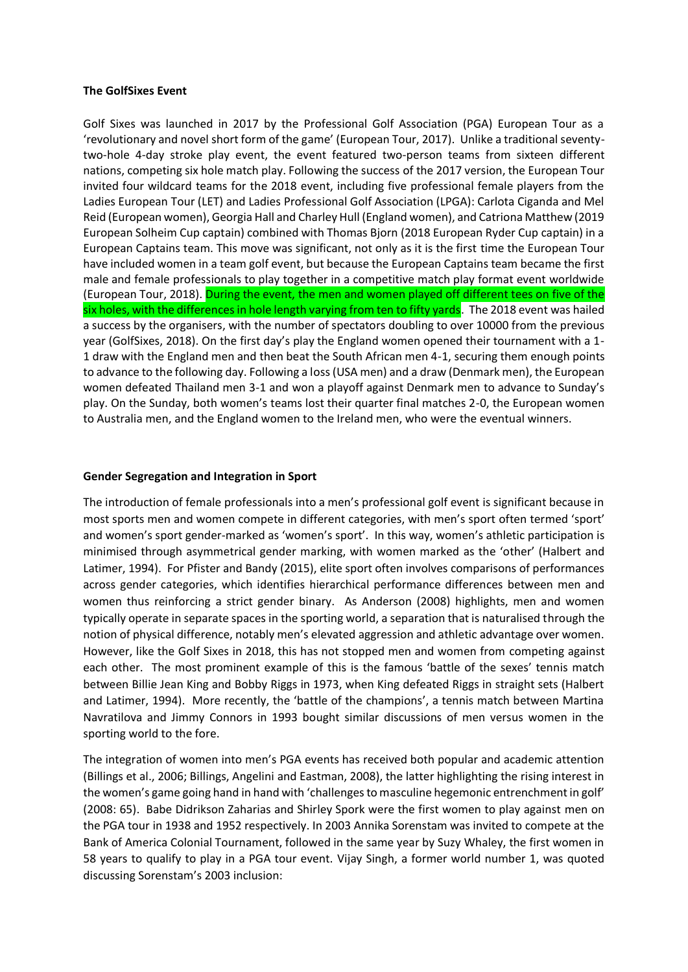### **The GolfSixes Event**

Golf Sixes was launched in 2017 by the Professional Golf Association (PGA) European Tour as a 'revolutionary and novel short form of the game' (European Tour, 2017). Unlike a traditional seventytwo-hole 4-day stroke play event, the event featured two-person teams from sixteen different nations, competing six hole match play. Following the success of the 2017 version, the European Tour invited four wildcard teams for the 2018 event, including five professional female players from the Ladies European Tour (LET) and Ladies Professional Golf Association (LPGA): Carlota Ciganda and Mel Reid (European women), Georgia Hall and Charley Hull (England women), and Catriona Matthew (2019 European Solheim Cup captain) combined with Thomas Bjorn (2018 European Ryder Cup captain) in a European Captains team. This move was significant, not only as it is the first time the European Tour have included women in a team golf event, but because the European Captains team became the first male and female professionals to play together in a competitive match play format event worldwide (European Tour, 2018). During the event, the men and women played off different tees on five of the six holes, with the differences in hole length varying from ten to fifty yards. The 2018 event was hailed a success by the organisers, with the number of spectators doubling to over 10000 from the previous year (GolfSixes, 2018). On the first day's play the England women opened their tournament with a 1- 1 draw with the England men and then beat the South African men 4-1, securing them enough points to advance to the following day. Following a loss (USA men) and a draw (Denmark men), the European women defeated Thailand men 3-1 and won a playoff against Denmark men to advance to Sunday's play. On the Sunday, both women's teams lost their quarter final matches 2-0, the European women to Australia men, and the England women to the Ireland men, who were the eventual winners.

# **Gender Segregation and Integration in Sport**

The introduction of female professionals into a men's professional golf event is significant because in most sports men and women compete in different categories, with men's sport often termed 'sport' and women's sport gender-marked as 'women's sport'. In this way, women's athletic participation is minimised through asymmetrical gender marking, with women marked as the 'other' (Halbert and Latimer, 1994). For Pfister and Bandy (2015), elite sport often involves comparisons of performances across gender categories, which identifies hierarchical performance differences between men and women thus reinforcing a strict gender binary. As Anderson (2008) highlights, men and women typically operate in separate spaces in the sporting world, a separation that is naturalised through the notion of physical difference, notably men's elevated aggression and athletic advantage over women. However, like the Golf Sixes in 2018, this has not stopped men and women from competing against each other. The most prominent example of this is the famous 'battle of the sexes' tennis match between Billie Jean King and Bobby Riggs in 1973, when King defeated Riggs in straight sets (Halbert and Latimer, 1994). More recently, the 'battle of the champions', a tennis match between Martina Navratilova and Jimmy Connors in 1993 bought similar discussions of men versus women in the sporting world to the fore.

The integration of women into men's PGA events has received both popular and academic attention (Billings et al., 2006; Billings, Angelini and Eastman, 2008), the latter highlighting the rising interest in the women's game going hand in hand with 'challenges to masculine hegemonic entrenchment in golf' (2008: 65). Babe Didrikson Zaharias and Shirley Spork were the first women to play against men on the PGA tour in 1938 and 1952 respectively. In 2003 Annika Sorenstam was invited to compete at the Bank of America Colonial Tournament, followed in the same year by Suzy Whaley, the first women in 58 years to qualify to play in a PGA tour event. Vijay Singh, a former world number 1, was quoted discussing Sorenstam's 2003 inclusion: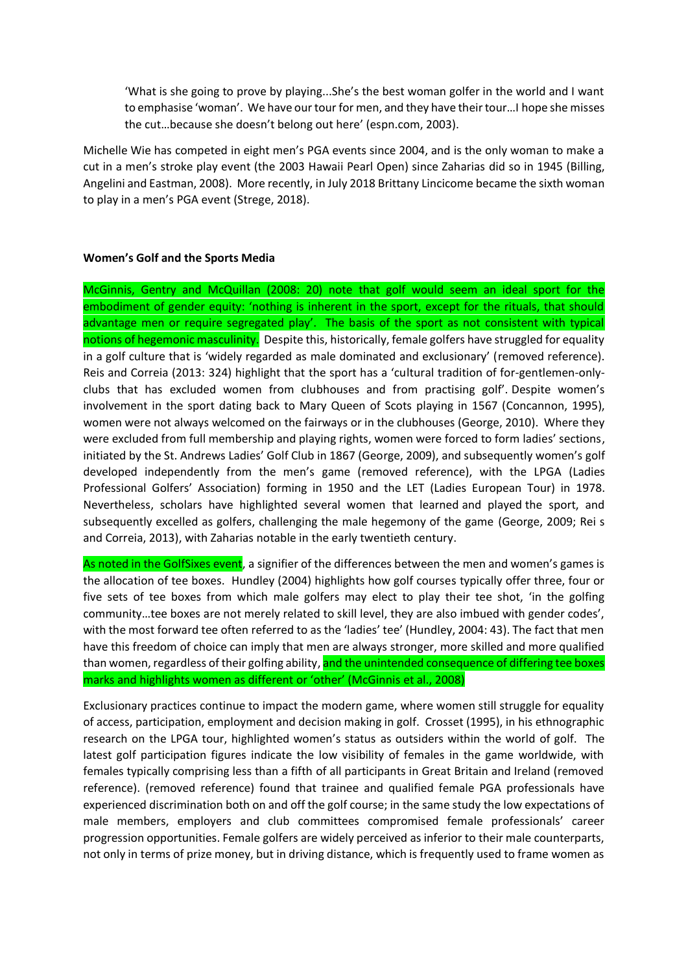'What is she going to prove by playing...She's the best woman golfer in the world and I want to emphasise 'woman'. We have our tour for men, and they have their tour…I hope she misses the cut…because she doesn't belong out here' (espn.com, 2003).

Michelle Wie has competed in eight men's PGA events since 2004, and is the only woman to make a cut in a men's stroke play event (the 2003 Hawaii Pearl Open) since Zaharias did so in 1945 (Billing, Angelini and Eastman, 2008). More recently, in July 2018 Brittany Lincicome became the sixth woman to play in a men's PGA event (Strege, 2018).

### **Women's Golf and the Sports Media**

McGinnis, Gentry and McQuillan (2008: 20) note that golf would seem an ideal sport for the embodiment of gender equity: 'nothing is inherent in the sport, except for the rituals, that should advantage men or require segregated play'. The basis of the sport as not consistent with typical notions of hegemonic masculinity. Despite this, historically, female golfers have struggled for equality in a golf culture that is 'widely regarded as male dominated and exclusionary' (removed reference). Reis and Correia (2013: 324) highlight that the sport has a 'cultural tradition of for-gentlemen-onlyclubs that has excluded women from clubhouses and from practising golf'. Despite women's involvement in the sport dating back to Mary Queen of Scots playing in 1567 (Concannon, 1995), women were not always welcomed on the fairways or in the clubhouses (George, 2010). Where they were excluded from full membership and playing rights, women were forced to form ladies' sections, initiated by the St. Andrews Ladies' Golf Club in 1867 (George, 2009), and subsequently women's golf developed independently from the men's game (removed reference), with the LPGA (Ladies Professional Golfers' Association) forming in 1950 and the LET (Ladies European Tour) in 1978. Nevertheless, scholars have highlighted several women that learned and played the sport, and subsequently excelled as golfers, challenging the male hegemony of the game (George, 2009; Rei s and Correia, 2013), with Zaharias notable in the early twentieth century.

As noted in the GolfSixes event, a signifier of the differences between the men and women's games is the allocation of tee boxes. Hundley (2004) highlights how golf courses typically offer three, four or five sets of tee boxes from which male golfers may elect to play their tee shot, 'in the golfing community…tee boxes are not merely related to skill level, they are also imbued with gender codes', with the most forward tee often referred to as the 'ladies' tee' (Hundley, 2004: 43). The fact that men have this freedom of choice can imply that men are always stronger, more skilled and more qualified than women, regardless of their golfing ability, and the unintended consequence of differing tee boxes marks and highlights women as different or 'other' (McGinnis et al., 2008)

Exclusionary practices continue to impact the modern game, where women still struggle for equality of access, participation, employment and decision making in golf. Crosset (1995), in his ethnographic research on the LPGA tour, highlighted women's status as outsiders within the world of golf. The latest golf participation figures indicate the low visibility of females in the game worldwide, with females typically comprising less than a fifth of all participants in Great Britain and Ireland (removed reference). (removed reference) found that trainee and qualified female PGA professionals have experienced discrimination both on and off the golf course; in the same study the low expectations of male members, employers and club committees compromised female professionals' career progression opportunities. Female golfers are widely perceived as inferior to their male counterparts, not only in terms of prize money, but in driving distance, which is frequently used to frame women as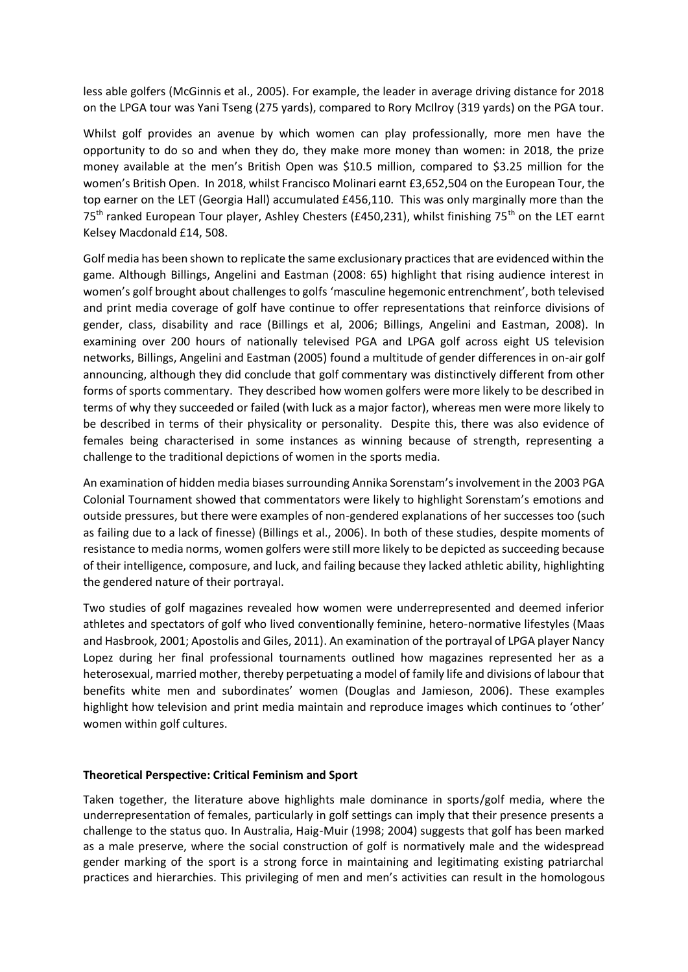less able golfers (McGinnis et al., 2005). For example, the leader in average driving distance for 2018 on the LPGA tour was Yani Tseng (275 yards), compared to Rory McIlroy (319 yards) on the PGA tour.

Whilst golf provides an avenue by which women can play professionally, more men have the opportunity to do so and when they do, they make more money than women: in 2018, the prize money available at the men's British Open was \$10.5 million, compared to \$3.25 million for the women's British Open. In 2018, whilst Francisco Molinari earnt £3,652,504 on the European Tour, the top earner on the LET (Georgia Hall) accumulated £456,110. This was only marginally more than the 75<sup>th</sup> ranked European Tour player, Ashley Chesters (£450,231), whilst finishing 75<sup>th</sup> on the LET earnt Kelsey Macdonald £14, 508.

Golf media has been shown to replicate the same exclusionary practices that are evidenced within the game. Although Billings, Angelini and Eastman (2008: 65) highlight that rising audience interest in women's golf brought about challenges to golfs 'masculine hegemonic entrenchment', both televised and print media coverage of golf have continue to offer representations that reinforce divisions of gender, class, disability and race (Billings et al, 2006; Billings, Angelini and Eastman, 2008). In examining over 200 hours of nationally televised PGA and LPGA golf across eight US television networks, Billings, Angelini and Eastman (2005) found a multitude of gender differences in on-air golf announcing, although they did conclude that golf commentary was distinctively different from other forms of sports commentary. They described how women golfers were more likely to be described in terms of why they succeeded or failed (with luck as a major factor), whereas men were more likely to be described in terms of their physicality or personality. Despite this, there was also evidence of females being characterised in some instances as winning because of strength, representing a challenge to the traditional depictions of women in the sports media.

An examination of hidden media biases surrounding Annika Sorenstam's involvement in the 2003 PGA Colonial Tournament showed that commentators were likely to highlight Sorenstam's emotions and outside pressures, but there were examples of non-gendered explanations of her successes too (such as failing due to a lack of finesse) (Billings et al., 2006). In both of these studies, despite moments of resistance to media norms, women golfers were still more likely to be depicted as succeeding because of their intelligence, composure, and luck, and failing because they lacked athletic ability, highlighting the gendered nature of their portrayal.

Two studies of golf magazines revealed how women were underrepresented and deemed inferior athletes and spectators of golf who lived conventionally feminine, hetero-normative lifestyles (Maas and Hasbrook, 2001; Apostolis and Giles, 2011). An examination of the portrayal of LPGA player Nancy Lopez during her final professional tournaments outlined how magazines represented her as a heterosexual, married mother, thereby perpetuating a model of family life and divisions of labour that benefits white men and subordinates' women (Douglas and Jamieson, 2006). These examples highlight how television and print media maintain and reproduce images which continues to 'other' women within golf cultures.

#### **Theoretical Perspective: Critical Feminism and Sport**

Taken together, the literature above highlights male dominance in sports/golf media, where the underrepresentation of females, particularly in golf settings can imply that their presence presents a challenge to the status quo. In Australia, Haig-Muir (1998; 2004) suggests that golf has been marked as a male preserve, where the social construction of golf is normatively male and the widespread gender marking of the sport is a strong force in maintaining and legitimating existing patriarchal practices and hierarchies. This privileging of men and men's activities can result in the homologous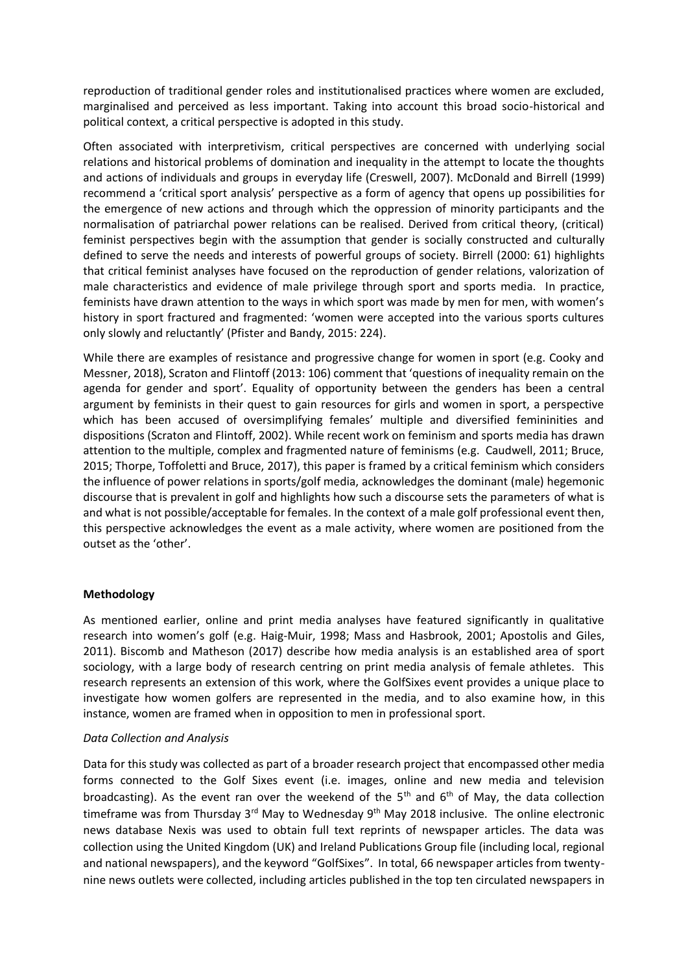reproduction of traditional gender roles and institutionalised practices where women are excluded, marginalised and perceived as less important. Taking into account this broad socio-historical and political context, a critical perspective is adopted in this study.

Often associated with interpretivism, critical perspectives are concerned with underlying social relations and historical problems of domination and inequality in the attempt to locate the thoughts and actions of individuals and groups in everyday life (Creswell, 2007). McDonald and Birrell (1999) recommend a 'critical sport analysis' perspective as a form of agency that opens up possibilities for the emergence of new actions and through which the oppression of minority participants and the normalisation of patriarchal power relations can be realised. Derived from critical theory, (critical) feminist perspectives begin with the assumption that gender is socially constructed and culturally defined to serve the needs and interests of powerful groups of society. Birrell (2000: 61) highlights that critical feminist analyses have focused on the reproduction of gender relations, valorization of male characteristics and evidence of male privilege through sport and sports media. In practice, feminists have drawn attention to the ways in which sport was made by men for men, with women's history in sport fractured and fragmented: 'women were accepted into the various sports cultures only slowly and reluctantly' (Pfister and Bandy, 2015: 224).

While there are examples of resistance and progressive change for women in sport (e.g. Cooky and Messner, 2018), Scraton and Flintoff (2013: 106) comment that 'questions of inequality remain on the agenda for gender and sport'. Equality of opportunity between the genders has been a central argument by feminists in their quest to gain resources for girls and women in sport, a perspective which has been accused of oversimplifying females' multiple and diversified femininities and dispositions (Scraton and Flintoff, 2002). While recent work on feminism and sports media has drawn attention to the multiple, complex and fragmented nature of feminisms (e.g. Caudwell, 2011; Bruce, 2015; Thorpe, Toffoletti and Bruce, 2017), this paper is framed by a critical feminism which considers the influence of power relations in sports/golf media, acknowledges the dominant (male) hegemonic discourse that is prevalent in golf and highlights how such a discourse sets the parameters of what is and what is not possible/acceptable for females. In the context of a male golf professional event then, this perspective acknowledges the event as a male activity, where women are positioned from the outset as the 'other'.

# **Methodology**

As mentioned earlier, online and print media analyses have featured significantly in qualitative research into women's golf (e.g. Haig-Muir, 1998; Mass and Hasbrook, 2001; Apostolis and Giles, 2011). Biscomb and Matheson (2017) describe how media analysis is an established area of sport sociology, with a large body of research centring on print media analysis of female athletes. This research represents an extension of this work, where the GolfSixes event provides a unique place to investigate how women golfers are represented in the media, and to also examine how, in this instance, women are framed when in opposition to men in professional sport.

#### *Data Collection and Analysis*

Data for this study was collected as part of a broader research project that encompassed other media forms connected to the Golf Sixes event (i.e. images, online and new media and television broadcasting). As the event ran over the weekend of the  $5<sup>th</sup>$  and  $6<sup>th</sup>$  of May, the data collection timeframe was from Thursday 3<sup>rd</sup> May to Wednesday 9<sup>th</sup> May 2018 inclusive. The online electronic news database Nexis was used to obtain full text reprints of newspaper articles. The data was collection using the United Kingdom (UK) and Ireland Publications Group file (including local, regional and national newspapers), and the keyword "GolfSixes". In total, 66 newspaper articles from twentynine news outlets were collected, including articles published in the top ten circulated newspapers in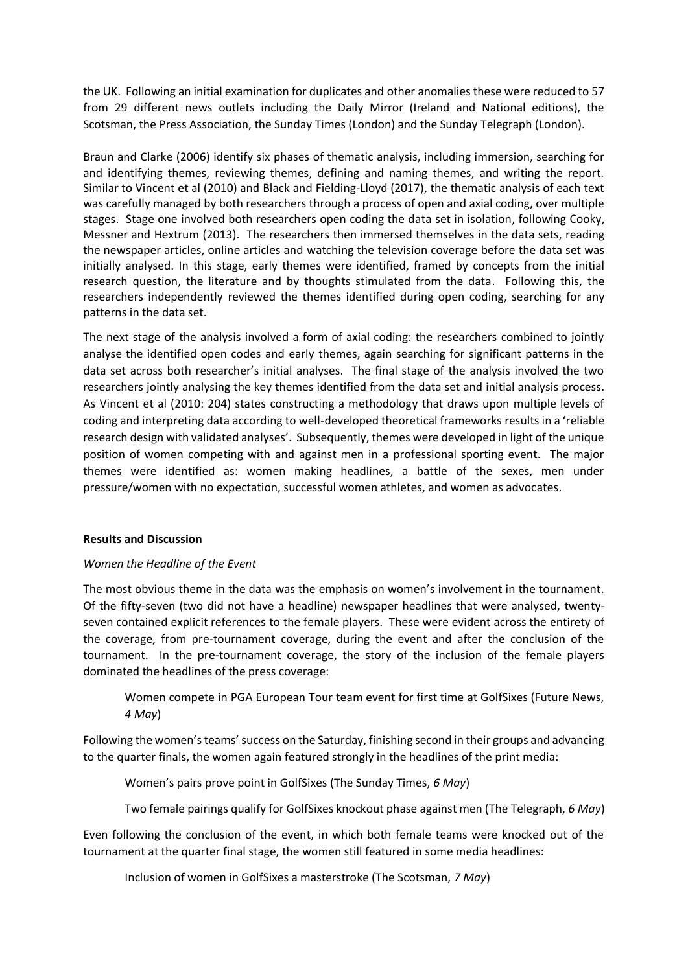the UK. Following an initial examination for duplicates and other anomalies these were reduced to 57 from 29 different news outlets including the Daily Mirror (Ireland and National editions), the Scotsman, the Press Association, the Sunday Times (London) and the Sunday Telegraph (London).

Braun and Clarke (2006) identify six phases of thematic analysis, including immersion, searching for and identifying themes, reviewing themes, defining and naming themes, and writing the report. Similar to Vincent et al (2010) and Black and Fielding-Lloyd (2017), the thematic analysis of each text was carefully managed by both researchers through a process of open and axial coding, over multiple stages. Stage one involved both researchers open coding the data set in isolation, following Cooky, Messner and Hextrum (2013). The researchers then immersed themselves in the data sets, reading the newspaper articles, online articles and watching the television coverage before the data set was initially analysed. In this stage, early themes were identified, framed by concepts from the initial research question, the literature and by thoughts stimulated from the data. Following this, the researchers independently reviewed the themes identified during open coding, searching for any patterns in the data set.

The next stage of the analysis involved a form of axial coding: the researchers combined to jointly analyse the identified open codes and early themes, again searching for significant patterns in the data set across both researcher's initial analyses. The final stage of the analysis involved the two researchers jointly analysing the key themes identified from the data set and initial analysis process. As Vincent et al (2010: 204) states constructing a methodology that draws upon multiple levels of coding and interpreting data according to well-developed theoretical frameworks results in a 'reliable research design with validated analyses'. Subsequently, themes were developed in light of the unique position of women competing with and against men in a professional sporting event. The major themes were identified as: women making headlines, a battle of the sexes, men under pressure/women with no expectation, successful women athletes, and women as advocates.

# **Results and Discussion**

#### *Women the Headline of the Event*

The most obvious theme in the data was the emphasis on women's involvement in the tournament. Of the fifty-seven (two did not have a headline) newspaper headlines that were analysed, twentyseven contained explicit references to the female players. These were evident across the entirety of the coverage, from pre-tournament coverage, during the event and after the conclusion of the tournament. In the pre-tournament coverage, the story of the inclusion of the female players dominated the headlines of the press coverage:

Women compete in PGA European Tour team event for first time at GolfSixes (Future News, *4 May*)

Following the women's teams' success on the Saturday, finishing second in their groups and advancing to the quarter finals, the women again featured strongly in the headlines of the print media:

Women's pairs prove point in GolfSixes (The Sunday Times, *6 May*)

Two female pairings qualify for GolfSixes knockout phase against men (The Telegraph, *6 May*)

Even following the conclusion of the event, in which both female teams were knocked out of the tournament at the quarter final stage, the women still featured in some media headlines:

Inclusion of women in GolfSixes a masterstroke (The Scotsman, *7 May*)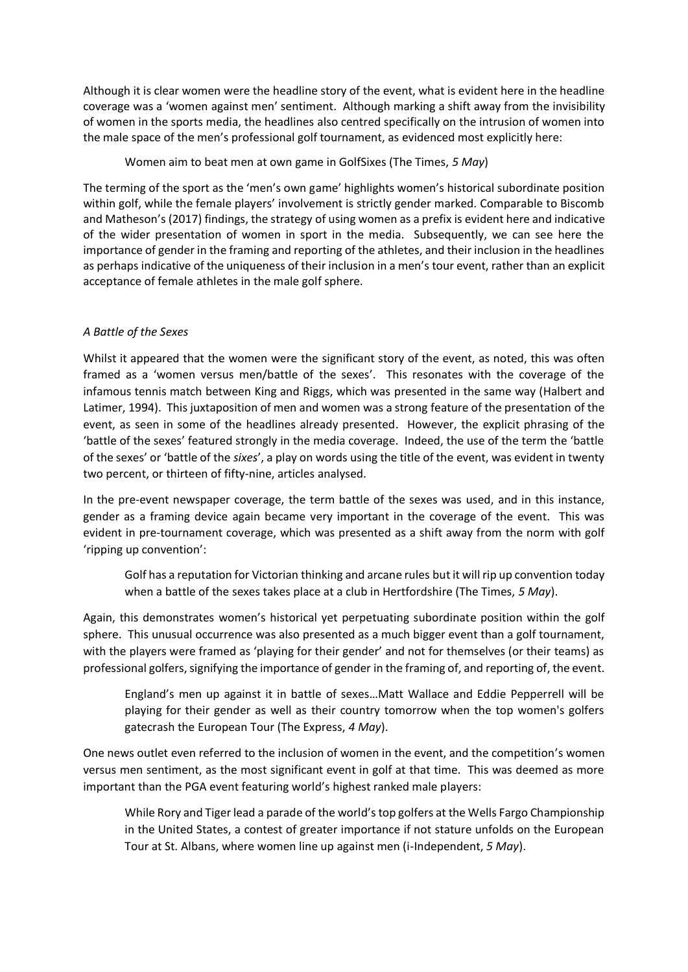Although it is clear women were the headline story of the event, what is evident here in the headline coverage was a 'women against men' sentiment. Although marking a shift away from the invisibility of women in the sports media, the headlines also centred specifically on the intrusion of women into the male space of the men's professional golf tournament, as evidenced most explicitly here:

Women aim to beat men at own game in GolfSixes (The Times, *5 May*)

The terming of the sport as the 'men's own game' highlights women's historical subordinate position within golf, while the female players' involvement is strictly gender marked. Comparable to Biscomb and Matheson's (2017) findings, the strategy of using women as a prefix is evident here and indicative of the wider presentation of women in sport in the media. Subsequently, we can see here the importance of gender in the framing and reporting of the athletes, and their inclusion in the headlines as perhaps indicative of the uniqueness of their inclusion in a men's tour event, rather than an explicit acceptance of female athletes in the male golf sphere.

# *A Battle of the Sexes*

Whilst it appeared that the women were the significant story of the event, as noted, this was often framed as a 'women versus men/battle of the sexes'. This resonates with the coverage of the infamous tennis match between King and Riggs, which was presented in the same way (Halbert and Latimer, 1994). This juxtaposition of men and women was a strong feature of the presentation of the event, as seen in some of the headlines already presented. However, the explicit phrasing of the 'battle of the sexes' featured strongly in the media coverage. Indeed, the use of the term the 'battle of the sexes' or 'battle of the *sixes*', a play on words using the title of the event, was evident in twenty two percent, or thirteen of fifty-nine, articles analysed.

In the pre-event newspaper coverage, the term battle of the sexes was used, and in this instance, gender as a framing device again became very important in the coverage of the event. This was evident in pre-tournament coverage, which was presented as a shift away from the norm with golf 'ripping up convention':

Golf has a reputation for Victorian thinking and arcane rules but it will rip up convention today when a battle of the sexes takes place at a club in Hertfordshire (The Times, *5 May*).

Again, this demonstrates women's historical yet perpetuating subordinate position within the golf sphere. This unusual occurrence was also presented as a much bigger event than a golf tournament, with the players were framed as 'playing for their gender' and not for themselves (or their teams) as professional golfers, signifying the importance of gender in the framing of, and reporting of, the event.

England's men up against it in battle of sexes…Matt Wallace and Eddie Pepperrell will be playing for their gender as well as their country tomorrow when the top women's golfers gatecrash the European Tour (The Express, *4 May*).

One news outlet even referred to the inclusion of women in the event, and the competition's women versus men sentiment, as the most significant event in golf at that time. This was deemed as more important than the PGA event featuring world's highest ranked male players:

While Rory and Tiger lead a parade of the world's top golfers at the Wells Fargo Championship in the United States, a contest of greater importance if not stature unfolds on the European Tour at St. Albans, where women line up against men (i-Independent, *5 May*).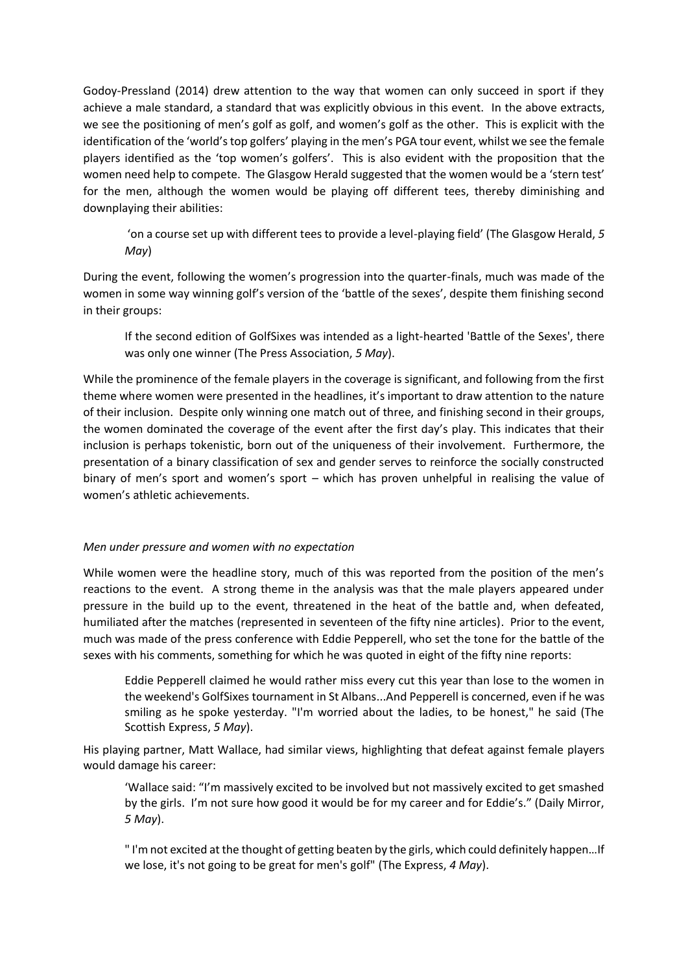Godoy-Pressland (2014) drew attention to the way that women can only succeed in sport if they achieve a male standard, a standard that was explicitly obvious in this event. In the above extracts, we see the positioning of men's golf as golf, and women's golf as the other. This is explicit with the identification of the 'world's top golfers' playing in the men's PGA tour event, whilst we see the female players identified as the 'top women's golfers'. This is also evident with the proposition that the women need help to compete. The Glasgow Herald suggested that the women would be a 'stern test' for the men, although the women would be playing off different tees, thereby diminishing and downplaying their abilities:

'on a course set up with different tees to provide a level-playing field' (The Glasgow Herald, *5 May*)

During the event, following the women's progression into the quarter-finals, much was made of the women in some way winning golf's version of the 'battle of the sexes', despite them finishing second in their groups:

If the second edition of GolfSixes was intended as a light-hearted 'Battle of the Sexes', there was only one winner (The Press Association, *5 May*).

While the prominence of the female players in the coverage is significant, and following from the first theme where women were presented in the headlines, it's important to draw attention to the nature of their inclusion. Despite only winning one match out of three, and finishing second in their groups, the women dominated the coverage of the event after the first day's play. This indicates that their inclusion is perhaps tokenistic, born out of the uniqueness of their involvement. Furthermore, the presentation of a binary classification of sex and gender serves to reinforce the socially constructed binary of men's sport and women's sport – which has proven unhelpful in realising the value of women's athletic achievements.

# *Men under pressure and women with no expectation*

While women were the headline story, much of this was reported from the position of the men's reactions to the event. A strong theme in the analysis was that the male players appeared under pressure in the build up to the event, threatened in the heat of the battle and, when defeated, humiliated after the matches (represented in seventeen of the fifty nine articles). Prior to the event, much was made of the press conference with Eddie Pepperell, who set the tone for the battle of the sexes with his comments, something for which he was quoted in eight of the fifty nine reports:

Eddie Pepperell claimed he would rather miss every cut this year than lose to the women in the weekend's GolfSixes tournament in St Albans...And Pepperell is concerned, even if he was smiling as he spoke yesterday. "I'm worried about the ladies, to be honest," he said (The Scottish Express, *5 May*).

His playing partner, Matt Wallace, had similar views, highlighting that defeat against female players would damage his career:

'Wallace said: "I'm massively excited to be involved but not massively excited to get smashed by the girls. I'm not sure how good it would be for my career and for Eddie's." (Daily Mirror, *5 May*).

" I'm not excited at the thought of getting beaten by the girls, which could definitely happen…If we lose, it's not going to be great for men's golf" (The Express, *4 May*).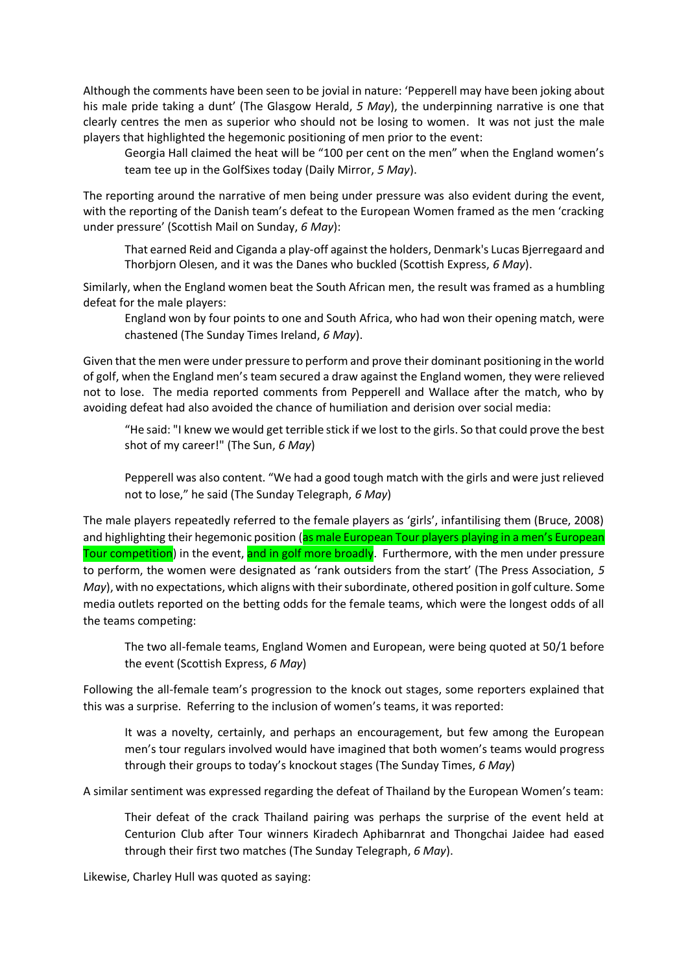Although the comments have been seen to be jovial in nature: 'Pepperell may have been joking about his male pride taking a dunt' (The Glasgow Herald, *5 May*), the underpinning narrative is one that clearly centres the men as superior who should not be losing to women. It was not just the male players that highlighted the hegemonic positioning of men prior to the event:

Georgia Hall claimed the heat will be "100 per cent on the men" when the England women's team tee up in the GolfSixes today (Daily Mirror, *5 May*).

The reporting around the narrative of men being under pressure was also evident during the event, with the reporting of the Danish team's defeat to the European Women framed as the men 'cracking under pressure' (Scottish Mail on Sunday, *6 May*):

That earned Reid and Ciganda a play-off against the holders, Denmark's Lucas Bjerregaard and Thorbjorn Olesen, and it was the Danes who buckled (Scottish Express, *6 May*).

Similarly, when the England women beat the South African men, the result was framed as a humbling defeat for the male players:

England won by four points to one and South Africa, who had won their opening match, were chastened (The Sunday Times Ireland, *6 May*).

Given that the men were under pressure to perform and prove their dominant positioning in the world of golf, when the England men's team secured a draw against the England women, they were relieved not to lose. The media reported comments from Pepperell and Wallace after the match, who by avoiding defeat had also avoided the chance of humiliation and derision over social media:

"He said: "I knew we would get terrible stick if we lost to the girls. So that could prove the best shot of my career!" (The Sun, *6 May*)

Pepperell was also content. "We had a good tough match with the girls and were just relieved not to lose," he said (The Sunday Telegraph, *6 May*)

The male players repeatedly referred to the female players as 'girls', infantilising them (Bruce, 2008) and highlighting their hegemonic position (as male European Tour players playing in a men's European Tour competition) in the event, and in golf more broadly. Furthermore, with the men under pressure to perform, the women were designated as 'rank outsiders from the start' (The Press Association, *5 May*), with no expectations, which aligns with their subordinate, othered position in golf culture. Some media outlets reported on the betting odds for the female teams, which were the longest odds of all the teams competing:

The two all-female teams, England Women and European, were being quoted at 50/1 before the event (Scottish Express, *6 May*)

Following the all-female team's progression to the knock out stages, some reporters explained that this was a surprise. Referring to the inclusion of women's teams, it was reported:

It was a novelty, certainly, and perhaps an encouragement, but few among the European men's tour regulars involved would have imagined that both women's teams would progress through their groups to today's knockout stages (The Sunday Times, *6 May*)

A similar sentiment was expressed regarding the defeat of Thailand by the European Women's team:

Their defeat of the crack Thailand pairing was perhaps the surprise of the event held at Centurion Club after Tour winners Kiradech Aphibarnrat and Thongchai Jaidee had eased through their first two matches (The Sunday Telegraph, *6 May*).

Likewise, Charley Hull was quoted as saying: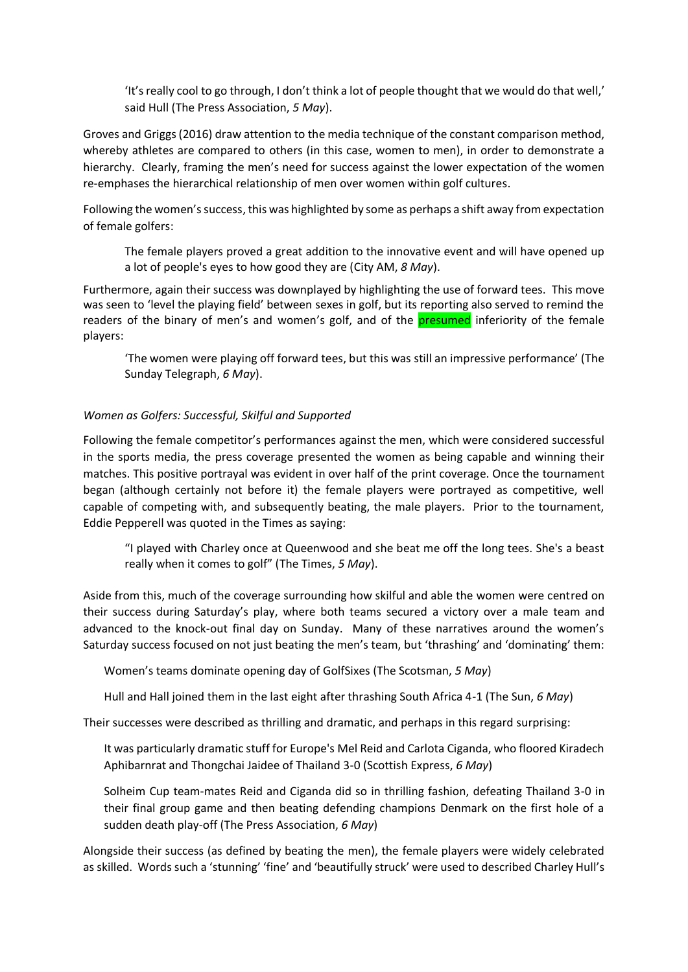'It's really cool to go through, I don't think a lot of people thought that we would do that well,' said Hull (The Press Association, *5 May*).

Groves and Griggs (2016) draw attention to the media technique of the constant comparison method, whereby athletes are compared to others (in this case, women to men), in order to demonstrate a hierarchy. Clearly, framing the men's need for success against the lower expectation of the women re-emphases the hierarchical relationship of men over women within golf cultures.

Following the women's success, this was highlighted by some as perhaps a shift away from expectation of female golfers:

The female players proved a great addition to the innovative event and will have opened up a lot of people's eyes to how good they are (City AM, *8 May*).

Furthermore, again their success was downplayed by highlighting the use of forward tees. This move was seen to 'level the playing field' between sexes in golf, but its reporting also served to remind the readers of the binary of men's and women's golf, and of the **presumed** inferiority of the female players:

'The women were playing off forward tees, but this was still an impressive performance' (The Sunday Telegraph, *6 May*).

# *Women as Golfers: Successful, Skilful and Supported*

Following the female competitor's performances against the men, which were considered successful in the sports media, the press coverage presented the women as being capable and winning their matches. This positive portrayal was evident in over half of the print coverage. Once the tournament began (although certainly not before it) the female players were portrayed as competitive, well capable of competing with, and subsequently beating, the male players. Prior to the tournament, Eddie Pepperell was quoted in the Times as saying:

"I played with Charley once at Queenwood and she beat me off the long tees. She's a beast really when it comes to golf" (The Times, *5 May*).

Aside from this, much of the coverage surrounding how skilful and able the women were centred on their success during Saturday's play, where both teams secured a victory over a male team and advanced to the knock-out final day on Sunday. Many of these narratives around the women's Saturday success focused on not just beating the men's team, but 'thrashing' and 'dominating' them:

Women's teams dominate opening day of GolfSixes (The Scotsman, *5 May*)

Hull and Hall joined them in the last eight after thrashing South Africa 4-1 (The Sun, *6 May*)

Their successes were described as thrilling and dramatic, and perhaps in this regard surprising:

It was particularly dramatic stuff for Europe's Mel Reid and Carlota Ciganda, who floored Kiradech Aphibarnrat and Thongchai Jaidee of Thailand 3-0 (Scottish Express, *6 May*)

Solheim Cup team-mates Reid and Ciganda did so in thrilling fashion, defeating Thailand 3-0 in their final group game and then beating defending champions Denmark on the first hole of a sudden death play-off (The Press Association, *6 May*)

Alongside their success (as defined by beating the men), the female players were widely celebrated as skilled. Words such a 'stunning' 'fine' and 'beautifully struck' were used to described Charley Hull's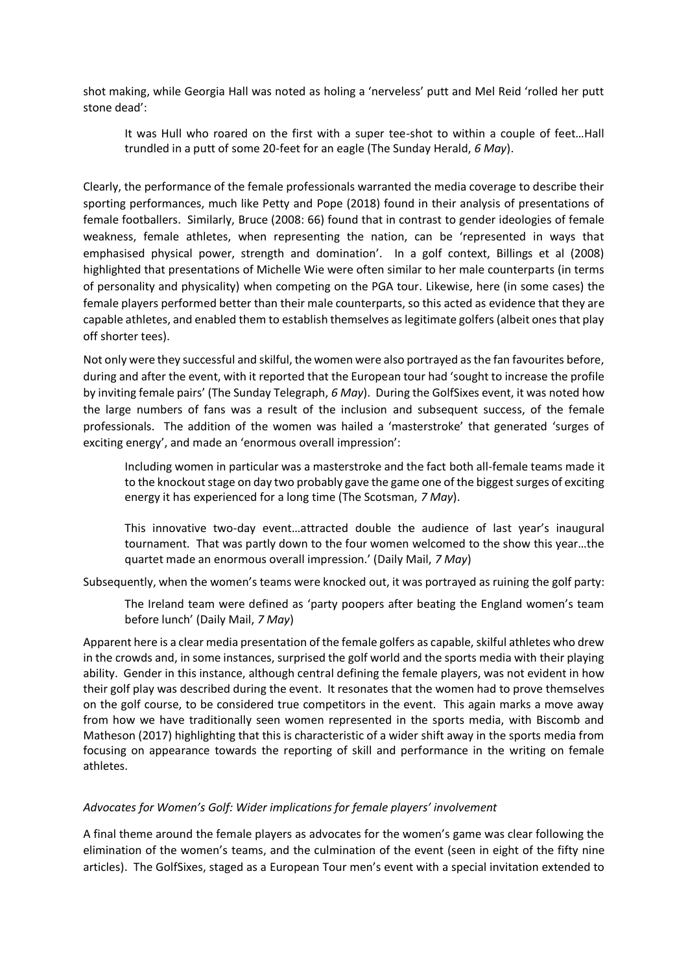shot making, while Georgia Hall was noted as holing a 'nerveless' putt and Mel Reid 'rolled her putt stone dead':

It was Hull who roared on the first with a super tee-shot to within a couple of feet…Hall trundled in a putt of some 20-feet for an eagle (The Sunday Herald, *6 May*).

Clearly, the performance of the female professionals warranted the media coverage to describe their sporting performances, much like Petty and Pope (2018) found in their analysis of presentations of female footballers. Similarly, Bruce (2008: 66) found that in contrast to gender ideologies of female weakness, female athletes, when representing the nation, can be 'represented in ways that emphasised physical power, strength and domination'. In a golf context, Billings et al (2008) highlighted that presentations of Michelle Wie were often similar to her male counterparts (in terms of personality and physicality) when competing on the PGA tour. Likewise, here (in some cases) the female players performed better than their male counterparts, so this acted as evidence that they are capable athletes, and enabled them to establish themselves as legitimate golfers (albeit ones that play off shorter tees).

Not only were they successful and skilful, the women were also portrayed as the fan favourites before, during and after the event, with it reported that the European tour had 'sought to increase the profile by inviting female pairs' (The Sunday Telegraph, *6 May*). During the GolfSixes event, it was noted how the large numbers of fans was a result of the inclusion and subsequent success, of the female professionals. The addition of the women was hailed a 'masterstroke' that generated 'surges of exciting energy', and made an 'enormous overall impression':

Including women in particular was a masterstroke and the fact both all-female teams made it to the knockout stage on day two probably gave the game one of the biggest surges of exciting energy it has experienced for a long time (The Scotsman, *7 May*).

This innovative two-day event…attracted double the audience of last year's inaugural tournament. That was partly down to the four women welcomed to the show this year…the quartet made an enormous overall impression.' (Daily Mail, *7 May*)

Subsequently, when the women's teams were knocked out, it was portrayed as ruining the golf party:

The Ireland team were defined as 'party poopers after beating the England women's team before lunch' (Daily Mail, *7 May*)

Apparent here is a clear media presentation of the female golfers as capable, skilful athletes who drew in the crowds and, in some instances, surprised the golf world and the sports media with their playing ability. Gender in this instance, although central defining the female players, was not evident in how their golf play was described during the event. It resonates that the women had to prove themselves on the golf course, to be considered true competitors in the event. This again marks a move away from how we have traditionally seen women represented in the sports media, with Biscomb and Matheson (2017) highlighting that this is characteristic of a wider shift away in the sports media from focusing on appearance towards the reporting of skill and performance in the writing on female athletes.

# *Advocates for Women's Golf: Wider implications for female players' involvement*

A final theme around the female players as advocates for the women's game was clear following the elimination of the women's teams, and the culmination of the event (seen in eight of the fifty nine articles). The GolfSixes, staged as a European Tour men's event with a special invitation extended to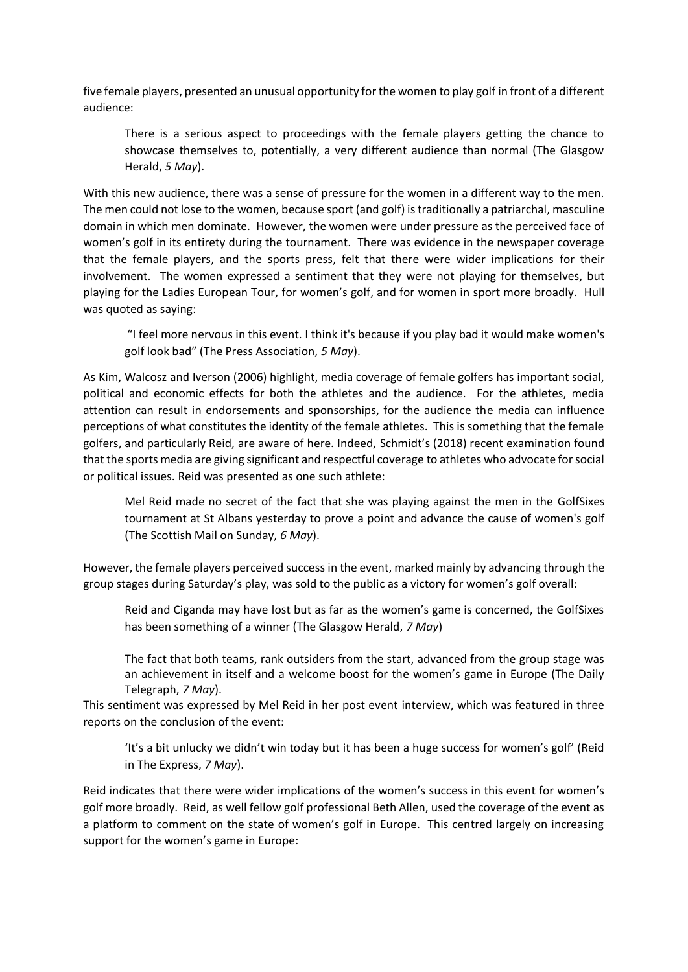five female players, presented an unusual opportunity for the women to play golf in front of a different audience:

There is a serious aspect to proceedings with the female players getting the chance to showcase themselves to, potentially, a very different audience than normal (The Glasgow Herald, *5 May*).

With this new audience, there was a sense of pressure for the women in a different way to the men. The men could not lose to the women, because sport (and golf) is traditionally a patriarchal, masculine domain in which men dominate. However, the women were under pressure as the perceived face of women's golf in its entirety during the tournament. There was evidence in the newspaper coverage that the female players, and the sports press, felt that there were wider implications for their involvement. The women expressed a sentiment that they were not playing for themselves, but playing for the Ladies European Tour, for women's golf, and for women in sport more broadly. Hull was quoted as saying:

"I feel more nervous in this event. I think it's because if you play bad it would make women's golf look bad" (The Press Association, *5 May*).

As Kim, Walcosz and Iverson (2006) highlight, media coverage of female golfers has important social, political and economic effects for both the athletes and the audience. For the athletes, media attention can result in endorsements and sponsorships, for the audience the media can influence perceptions of what constitutes the identity of the female athletes. This is something that the female golfers, and particularly Reid, are aware of here. Indeed, Schmidt's (2018) recent examination found that the sports media are giving significant and respectful coverage to athletes who advocate for social or political issues. Reid was presented as one such athlete:

Mel Reid made no secret of the fact that she was playing against the men in the GolfSixes tournament at St Albans yesterday to prove a point and advance the cause of women's golf (The Scottish Mail on Sunday, *6 May*).

However, the female players perceived success in the event, marked mainly by advancing through the group stages during Saturday's play, was sold to the public as a victory for women's golf overall:

Reid and Ciganda may have lost but as far as the women's game is concerned, the GolfSixes has been something of a winner (The Glasgow Herald, *7 May*)

The fact that both teams, rank outsiders from the start, advanced from the group stage was an achievement in itself and a welcome boost for the women's game in Europe (The Daily Telegraph, *7 May*).

This sentiment was expressed by Mel Reid in her post event interview, which was featured in three reports on the conclusion of the event:

'It's a bit unlucky we didn't win today but it has been a huge success for women's golf' (Reid in The Express, *7 May*).

Reid indicates that there were wider implications of the women's success in this event for women's golf more broadly. Reid, as well fellow golf professional Beth Allen, used the coverage of the event as a platform to comment on the state of women's golf in Europe. This centred largely on increasing support for the women's game in Europe: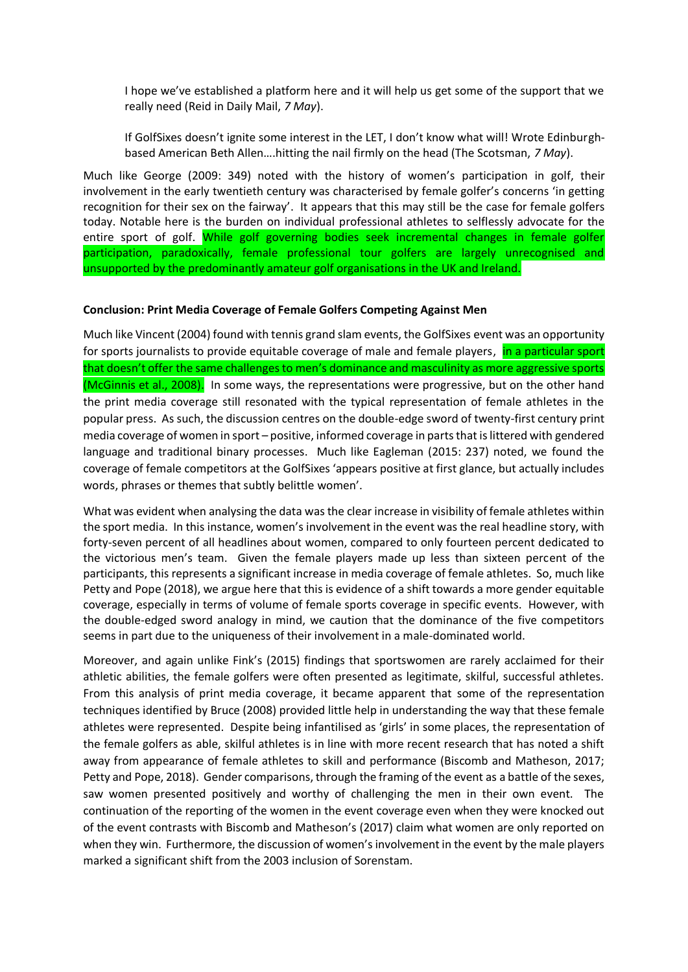I hope we've established a platform here and it will help us get some of the support that we really need (Reid in Daily Mail, *7 May*).

If GolfSixes doesn't ignite some interest in the LET, I don't know what will! Wrote Edinburghbased American Beth Allen….hitting the nail firmly on the head (The Scotsman, *7 May*).

Much like George (2009: 349) noted with the history of women's participation in golf, their involvement in the early twentieth century was characterised by female golfer's concerns 'in getting recognition for their sex on the fairway'. It appears that this may still be the case for female golfers today. Notable here is the burden on individual professional athletes to selflessly advocate for the entire sport of golf. While golf governing bodies seek incremental changes in female golfer participation, paradoxically, female professional tour golfers are largely unrecognised and unsupported by the predominantly amateur golf organisations in the UK and Ireland.

### **Conclusion: Print Media Coverage of Female Golfers Competing Against Men**

Much like Vincent (2004) found with tennis grand slam events, the GolfSixes event was an opportunity for sports journalists to provide equitable coverage of male and female players, in a particular sport that doesn't offer the same challenges to men's dominance and masculinity as more aggressive sports (McGinnis et al., 2008). In some ways, the representations were progressive, but on the other hand the print media coverage still resonated with the typical representation of female athletes in the popular press. As such, the discussion centres on the double-edge sword of twenty-first century print media coverage of women in sport – positive, informed coverage in parts that is littered with gendered language and traditional binary processes. Much like Eagleman (2015: 237) noted, we found the coverage of female competitors at the GolfSixes 'appears positive at first glance, but actually includes words, phrases or themes that subtly belittle women'.

What was evident when analysing the data was the clear increase in visibility of female athletes within the sport media. In this instance, women's involvement in the event was the real headline story, with forty-seven percent of all headlines about women, compared to only fourteen percent dedicated to the victorious men's team. Given the female players made up less than sixteen percent of the participants, this represents a significant increase in media coverage of female athletes. So, much like Petty and Pope (2018), we argue here that this is evidence of a shift towards a more gender equitable coverage, especially in terms of volume of female sports coverage in specific events. However, with the double-edged sword analogy in mind, we caution that the dominance of the five competitors seems in part due to the uniqueness of their involvement in a male-dominated world.

Moreover, and again unlike Fink's (2015) findings that sportswomen are rarely acclaimed for their athletic abilities, the female golfers were often presented as legitimate, skilful, successful athletes. From this analysis of print media coverage, it became apparent that some of the representation techniques identified by Bruce (2008) provided little help in understanding the way that these female athletes were represented. Despite being infantilised as 'girls' in some places, the representation of the female golfers as able, skilful athletes is in line with more recent research that has noted a shift away from appearance of female athletes to skill and performance (Biscomb and Matheson, 2017; Petty and Pope, 2018). Gender comparisons, through the framing of the event as a battle of the sexes, saw women presented positively and worthy of challenging the men in their own event. The continuation of the reporting of the women in the event coverage even when they were knocked out of the event contrasts with Biscomb and Matheson's (2017) claim what women are only reported on when they win. Furthermore, the discussion of women's involvement in the event by the male players marked a significant shift from the 2003 inclusion of Sorenstam.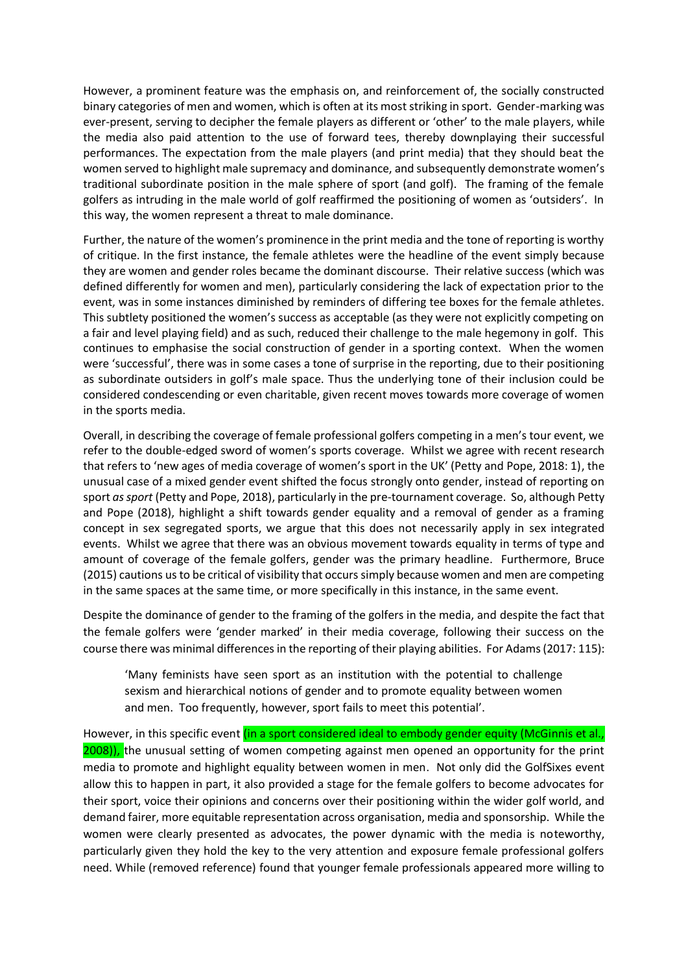However, a prominent feature was the emphasis on, and reinforcement of, the socially constructed binary categories of men and women, which is often at its most striking in sport. Gender-marking was ever-present, serving to decipher the female players as different or 'other' to the male players, while the media also paid attention to the use of forward tees, thereby downplaying their successful performances. The expectation from the male players (and print media) that they should beat the women served to highlight male supremacy and dominance, and subsequently demonstrate women's traditional subordinate position in the male sphere of sport (and golf). The framing of the female golfers as intruding in the male world of golf reaffirmed the positioning of women as 'outsiders'. In this way, the women represent a threat to male dominance.

Further, the nature of the women's prominence in the print media and the tone of reporting is worthy of critique. In the first instance, the female athletes were the headline of the event simply because they are women and gender roles became the dominant discourse. Their relative success (which was defined differently for women and men), particularly considering the lack of expectation prior to the event, was in some instances diminished by reminders of differing tee boxes for the female athletes. This subtlety positioned the women's success as acceptable (as they were not explicitly competing on a fair and level playing field) and as such, reduced their challenge to the male hegemony in golf. This continues to emphasise the social construction of gender in a sporting context. When the women were 'successful', there was in some cases a tone of surprise in the reporting, due to their positioning as subordinate outsiders in golf's male space. Thus the underlying tone of their inclusion could be considered condescending or even charitable, given recent moves towards more coverage of women in the sports media.

Overall, in describing the coverage of female professional golfers competing in a men's tour event, we refer to the double-edged sword of women's sports coverage. Whilst we agree with recent research that refers to 'new ages of media coverage of women's sport in the UK' (Petty and Pope, 2018: 1), the unusual case of a mixed gender event shifted the focus strongly onto gender, instead of reporting on sport *as sport* (Petty and Pope, 2018), particularly in the pre-tournament coverage. So, although Petty and Pope (2018), highlight a shift towards gender equality and a removal of gender as a framing concept in sex segregated sports, we argue that this does not necessarily apply in sex integrated events. Whilst we agree that there was an obvious movement towards equality in terms of type and amount of coverage of the female golfers, gender was the primary headline. Furthermore, Bruce (2015) cautions us to be critical of visibility that occurs simply because women and men are competing in the same spaces at the same time, or more specifically in this instance, in the same event.

Despite the dominance of gender to the framing of the golfers in the media, and despite the fact that the female golfers were 'gender marked' in their media coverage, following their success on the course there was minimal differences in the reporting of their playing abilities. For Adams (2017: 115):

'Many feminists have seen sport as an institution with the potential to challenge sexism and hierarchical notions of gender and to promote equality between women and men. Too frequently, however, sport fails to meet this potential'.

However, in this specific event (in a sport considered ideal to embody gender equity (McGinnis et al., 2008)), the unusual setting of women competing against men opened an opportunity for the print media to promote and highlight equality between women in men. Not only did the GolfSixes event allow this to happen in part, it also provided a stage for the female golfers to become advocates for their sport, voice their opinions and concerns over their positioning within the wider golf world, and demand fairer, more equitable representation across organisation, media and sponsorship. While the women were clearly presented as advocates, the power dynamic with the media is noteworthy, particularly given they hold the key to the very attention and exposure female professional golfers need. While (removed reference) found that younger female professionals appeared more willing to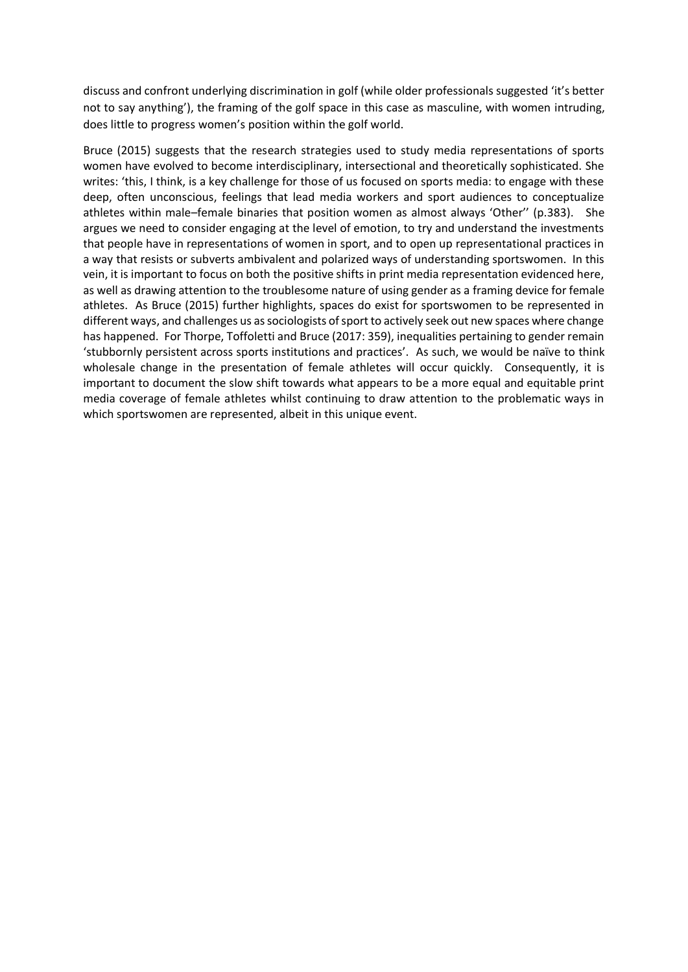discuss and confront underlying discrimination in golf (while older professionals suggested 'it's better not to say anything'), the framing of the golf space in this case as masculine, with women intruding, does little to progress women's position within the golf world.

Bruce (2015) suggests that the research strategies used to study media representations of sports women have evolved to become interdisciplinary, intersectional and theoretically sophisticated. She writes: 'this, I think, is a key challenge for those of us focused on sports media: to engage with these deep, often unconscious, feelings that lead media workers and sport audiences to conceptualize athletes within male–female binaries that position women as almost always 'Other'' (p.383). She argues we need to consider engaging at the level of emotion, to try and understand the investments that people have in representations of women in sport, and to open up representational practices in a way that resists or subverts ambivalent and polarized ways of understanding sportswomen. In this vein, it is important to focus on both the positive shifts in print media representation evidenced here, as well as drawing attention to the troublesome nature of using gender as a framing device for female athletes. As Bruce (2015) further highlights, spaces do exist for sportswomen to be represented in different ways, and challenges us as sociologists of sport to actively seek out new spaces where change has happened. For Thorpe, Toffoletti and Bruce (2017: 359), inequalities pertaining to gender remain 'stubbornly persistent across sports institutions and practices'. As such, we would be naïve to think wholesale change in the presentation of female athletes will occur quickly. Consequently, it is important to document the slow shift towards what appears to be a more equal and equitable print media coverage of female athletes whilst continuing to draw attention to the problematic ways in which sportswomen are represented, albeit in this unique event.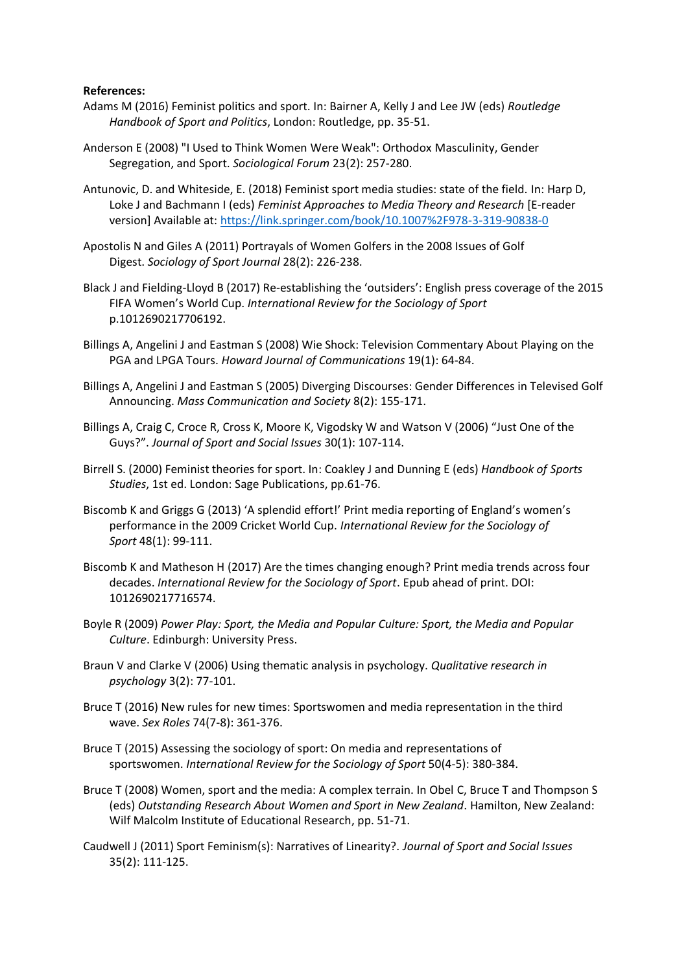### **References:**

- Adams M (2016) Feminist politics and sport. In: Bairner A, Kelly J and Lee JW (eds) *Routledge Handbook of Sport and Politics*, London: Routledge, pp. 35-51.
- Anderson E (2008) "I Used to Think Women Were Weak": Orthodox Masculinity, Gender Segregation, and Sport. *Sociological Forum* 23(2): 257-280.
- Antunovic, D. and Whiteside, E. (2018) Feminist sport media studies: state of the field. In: Harp D, Loke J and Bachmann I (eds) *Feminist Approaches to Media Theory and Research* [E-reader version] Available at: <https://link.springer.com/book/10.1007%2F978-3-319-90838-0>
- Apostolis N and Giles A (2011) Portrayals of Women Golfers in the 2008 Issues of Golf Digest. *Sociology of Sport Journal* 28(2): 226-238.
- Black J and Fielding-Lloyd B (2017) Re-establishing the 'outsiders': English press coverage of the 2015 FIFA Women's World Cup. *International Review for the Sociology of Sport* p.1012690217706192.
- Billings A, Angelini J and Eastman S (2008) Wie Shock: Television Commentary About Playing on the PGA and LPGA Tours. *Howard Journal of Communications* 19(1): 64-84.
- Billings A, Angelini J and Eastman S (2005) Diverging Discourses: Gender Differences in Televised Golf Announcing. *Mass Communication and Society* 8(2): 155-171.
- Billings A, Craig C, Croce R, Cross K, Moore K, Vigodsky W and Watson V (2006) "Just One of the Guys?". *Journal of Sport and Social Issues* 30(1): 107-114.
- Birrell S. (2000) Feminist theories for sport. In: Coakley J and Dunning E (eds) *Handbook of Sports Studies*, 1st ed. London: Sage Publications, pp.61-76.
- Biscomb K and Griggs G (2013) 'A splendid effort!' Print media reporting of England's women's performance in the 2009 Cricket World Cup. *International Review for the Sociology of Sport* 48(1): 99-111.
- Biscomb K and Matheson H (2017) Are the times changing enough? Print media trends across four decades. *International Review for the Sociology of Sport*. Epub ahead of print. DOI: 1012690217716574.
- Boyle R (2009) *Power Play: Sport, the Media and Popular Culture: Sport, the Media and Popular Culture*. Edinburgh: University Press.
- Braun V and Clarke V (2006) Using thematic analysis in psychology. *Qualitative research in psychology* 3(2): 77-101.
- Bruce T (2016) New rules for new times: Sportswomen and media representation in the third wave. *Sex Roles* 74(7-8): 361-376.
- Bruce T (2015) Assessing the sociology of sport: On media and representations of sportswomen. *International Review for the Sociology of Sport* 50(4-5): 380-384.
- Bruce T (2008) Women, sport and the media: A complex terrain. In Obel C, Bruce T and Thompson S (eds) *Outstanding Research About Women and Sport in New Zealand*. Hamilton, New Zealand: Wilf Malcolm Institute of Educational Research, pp. 51-71.
- Caudwell J (2011) Sport Feminism(s): Narratives of Linearity?. *Journal of Sport and Social Issues* 35(2): 111-125.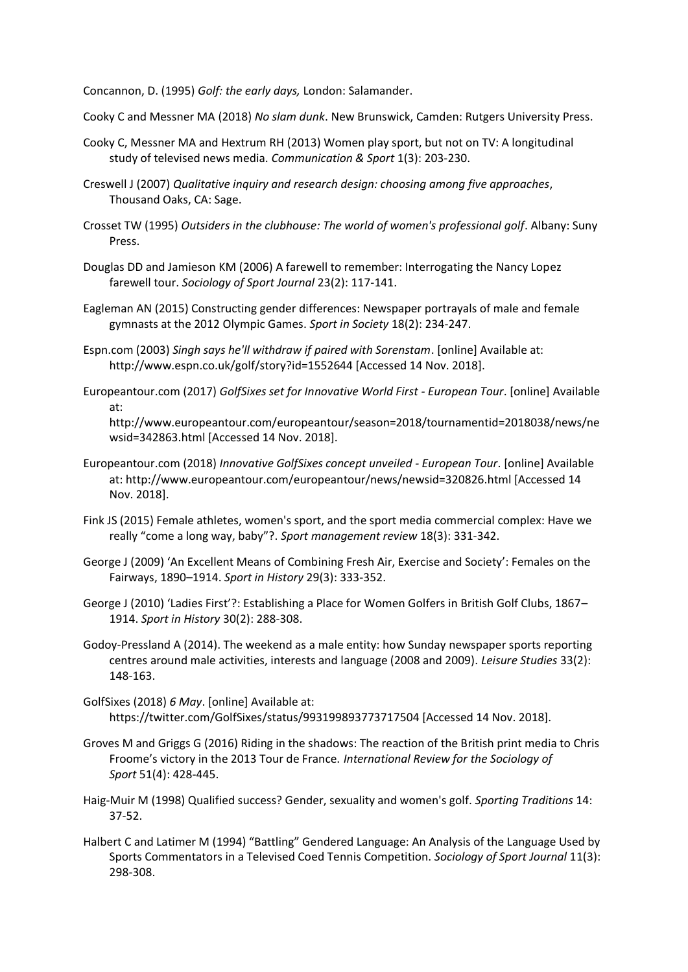Concannon, D. (1995) *Golf: the early days,* London: Salamander.

- Cooky C and Messner MA (2018) *No slam dunk*. New Brunswick, Camden: Rutgers University Press.
- Cooky C, Messner MA and Hextrum RH (2013) Women play sport, but not on TV: A longitudinal study of televised news media. *Communication & Sport* 1(3): 203-230.
- Creswell J (2007) *Qualitative inquiry and research design: choosing among five approaches*, Thousand Oaks, CA: Sage.
- Crosset TW (1995) *Outsiders in the clubhouse: The world of women's professional golf*. Albany: Suny Press.
- Douglas DD and Jamieson KM (2006) A farewell to remember: Interrogating the Nancy Lopez farewell tour. *Sociology of Sport Journal* 23(2): 117-141.
- Eagleman AN (2015) Constructing gender differences: Newspaper portrayals of male and female gymnasts at the 2012 Olympic Games. *Sport in Society* 18(2): 234-247.
- Espn.com (2003) *Singh says he'll withdraw if paired with Sorenstam*. [online] Available at: http://www.espn.co.uk/golf/story?id=1552644 [Accessed 14 Nov. 2018].
- Europeantour.com (2017) *GolfSixes set for Innovative World First - European Tour*. [online] Available at:

http://www.europeantour.com/europeantour/season=2018/tournamentid=2018038/news/ne wsid=342863.html [Accessed 14 Nov. 2018].

- Europeantour.com (2018) *Innovative GolfSixes concept unveiled - European Tour*. [online] Available at: http://www.europeantour.com/europeantour/news/newsid=320826.html [Accessed 14 Nov. 2018].
- Fink JS (2015) Female athletes, women's sport, and the sport media commercial complex: Have we really "come a long way, baby"?. *Sport management review* 18(3): 331-342.
- George J (2009) 'An Excellent Means of Combining Fresh Air, Exercise and Society': Females on the Fairways, 1890–1914. *Sport in History* 29(3): 333-352.
- George J (2010) 'Ladies First'?: Establishing a Place for Women Golfers in British Golf Clubs, 1867– 1914. *Sport in History* 30(2): 288-308.
- Godoy-Pressland A (2014). The weekend as a male entity: how Sunday newspaper sports reporting centres around male activities, interests and language (2008 and 2009). *Leisure Studies* 33(2): 148-163.
- GolfSixes (2018) *6 May*. [online] Available at: https://twitter.com/GolfSixes/status/993199893773717504 [Accessed 14 Nov. 2018].
- Groves M and Griggs G (2016) Riding in the shadows: The reaction of the British print media to Chris Froome's victory in the 2013 Tour de France. *International Review for the Sociology of Sport* 51(4): 428-445.
- Haig-Muir M (1998) Qualified success? Gender, sexuality and women's golf. *Sporting Traditions* 14: 37-52.
- Halbert C and Latimer M (1994) "Battling" Gendered Language: An Analysis of the Language Used by Sports Commentators in a Televised Coed Tennis Competition. *Sociology of Sport Journal* 11(3): 298-308.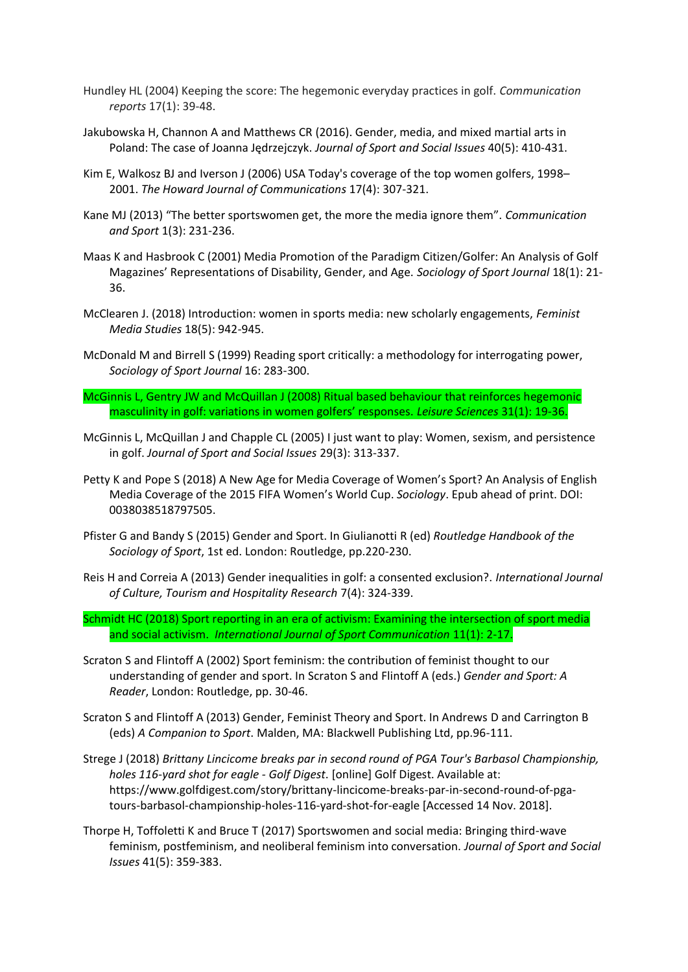- Hundley HL (2004) Keeping the score: The hegemonic everyday practices in golf. *Communication reports* 17(1): 39-48.
- Jakubowska H, Channon A and Matthews CR (2016). Gender, media, and mixed martial arts in Poland: The case of Joanna Jędrzejczyk. *Journal of Sport and Social Issues* 40(5): 410-431.
- Kim E, Walkosz BJ and Iverson J (2006) USA Today's coverage of the top women golfers, 1998– 2001. *The Howard Journal of Communications* 17(4): 307-321.
- Kane MJ (2013) "The better sportswomen get, the more the media ignore them". *Communication and Sport* 1(3): 231-236.
- Maas K and Hasbrook C (2001) Media Promotion of the Paradigm Citizen/Golfer: An Analysis of Golf Magazines' Representations of Disability, Gender, and Age. *Sociology of Sport Journal* 18(1): 21- 36.
- McClearen J. (2018) Introduction: women in sports media: new scholarly engagements, *Feminist Media Studies* 18(5): 942-945.
- McDonald M and Birrell S (1999) Reading sport critically: a methodology for interrogating power, *Sociology of Sport Journal* 16: 283-300.
- McGinnis L, Gentry JW and McQuillan J (2008) Ritual based behaviour that reinforces hegemonic masculinity in golf: variations in women golfers' responses. *Leisure Sciences* 31(1): 19-36.
- McGinnis L, McQuillan J and Chapple CL (2005) I just want to play: Women, sexism, and persistence in golf. *Journal of Sport and Social Issues* 29(3): 313-337.
- Petty K and Pope S (2018) A New Age for Media Coverage of Women's Sport? An Analysis of English Media Coverage of the 2015 FIFA Women's World Cup. *Sociology*. Epub ahead of print. DOI: 0038038518797505.
- Pfister G and Bandy S (2015) Gender and Sport. In Giulianotti R (ed) *Routledge Handbook of the Sociology of Sport*, 1st ed. London: Routledge, pp.220-230.
- Reis H and Correia A (2013) Gender inequalities in golf: a consented exclusion?. *International Journal of Culture, Tourism and Hospitality Research* 7(4): 324-339.
- Schmidt HC (2018) Sport reporting in an era of activism: Examining the intersection of sport media and social activism. *International Journal of Sport Communication* 11(1): 2-17.
- Scraton S and Flintoff A (2002) Sport feminism: the contribution of feminist thought to our understanding of gender and sport. In Scraton S and Flintoff A (eds.) *Gender and Sport: A Reader*, London: Routledge, pp. 30-46.
- Scraton S and Flintoff A (2013) Gender, Feminist Theory and Sport. In Andrews D and Carrington B (eds) *A Companion to Sport*. Malden, MA: Blackwell Publishing Ltd, pp.96-111.
- Strege J (2018) *Brittany Lincicome breaks par in second round of PGA Tour's Barbasol Championship, holes 116-yard shot for eagle - Golf Digest*. [online] Golf Digest. Available at: https://www.golfdigest.com/story/brittany-lincicome-breaks-par-in-second-round-of-pgatours-barbasol-championship-holes-116-yard-shot-for-eagle [Accessed 14 Nov. 2018].
- Thorpe H, Toffoletti K and Bruce T (2017) Sportswomen and social media: Bringing third-wave feminism, postfeminism, and neoliberal feminism into conversation. *Journal of Sport and Social Issues* 41(5): 359-383.